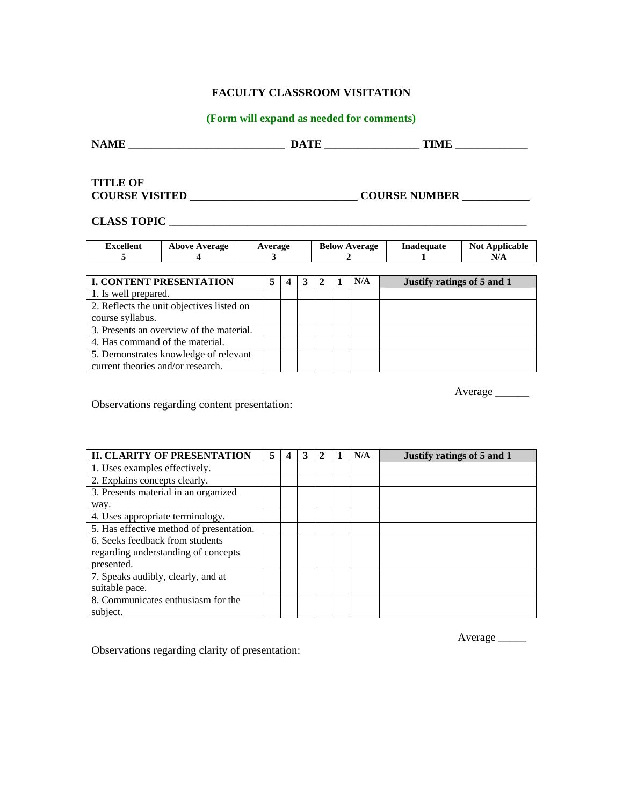## **FACULTY CLASSROOM VISITATION**

## **(Form will expand as needed for comments)**

| <b>NAME</b><br><b>A 14 A A</b> 1<br>.<br>the contract of the contract of the contract of the contract of the contract of the contract of the contract of<br>___ |  |
|-----------------------------------------------------------------------------------------------------------------------------------------------------------------|--|
|                                                                                                                                                                 |  |

## **TITLE OF COURSE VISITED \_\_\_\_\_\_\_\_\_\_\_\_\_\_\_\_\_\_\_\_\_\_\_\_\_\_\_\_\_\_ COURSE NUMBER \_\_\_\_\_\_\_\_\_\_\_\_**

**CLASS TOPIC \_\_\_\_\_\_\_\_\_\_\_\_\_\_\_\_\_\_\_\_\_\_\_\_\_\_\_\_\_\_\_\_\_\_\_\_\_\_\_\_\_\_\_\_\_\_\_\_\_\_\_\_\_\_\_\_\_\_\_\_\_\_\_\_** 

| Excellent | <b>Above Average</b> | Average | <b>Below Average</b> | Inadequate | <b>Not Applicable</b> |
|-----------|----------------------|---------|----------------------|------------|-----------------------|
|           |                      |         |                      |            |                       |

| <b>I. CONTENT PRESENTATION</b>            | 5 | 4 | 3 |  | N/A | Justify ratings of 5 and 1 |
|-------------------------------------------|---|---|---|--|-----|----------------------------|
| 1. Is well prepared.                      |   |   |   |  |     |                            |
| 2. Reflects the unit objectives listed on |   |   |   |  |     |                            |
| course syllabus.                          |   |   |   |  |     |                            |
| 3. Presents an overview of the material.  |   |   |   |  |     |                            |
| 4. Has command of the material.           |   |   |   |  |     |                            |
| 5. Demonstrates knowledge of relevant     |   |   |   |  |     |                            |
| current theories and/or research.         |   |   |   |  |     |                            |

Average \_\_\_\_\_\_

Observations regarding content presentation:

| <b>II. CLARITY OF PRESENTATION</b>       | 5 | 4 | 3 | 2 | N/A | Justify ratings of 5 and 1 |
|------------------------------------------|---|---|---|---|-----|----------------------------|
| 1. Uses examples effectively.            |   |   |   |   |     |                            |
| 2. Explains concepts clearly.            |   |   |   |   |     |                            |
| 3. Presents material in an organized     |   |   |   |   |     |                            |
| way.                                     |   |   |   |   |     |                            |
| 4. Uses appropriate terminology.         |   |   |   |   |     |                            |
| 5. Has effective method of presentation. |   |   |   |   |     |                            |
| 6. Seeks feedback from students          |   |   |   |   |     |                            |
| regarding understanding of concepts      |   |   |   |   |     |                            |
| presented.                               |   |   |   |   |     |                            |
| 7. Speaks audibly, clearly, and at       |   |   |   |   |     |                            |
| suitable pace.                           |   |   |   |   |     |                            |
| 8. Communicates enthusiasm for the       |   |   |   |   |     |                            |
| subject.                                 |   |   |   |   |     |                            |

Average \_\_\_\_\_

Observations regarding clarity of presentation: